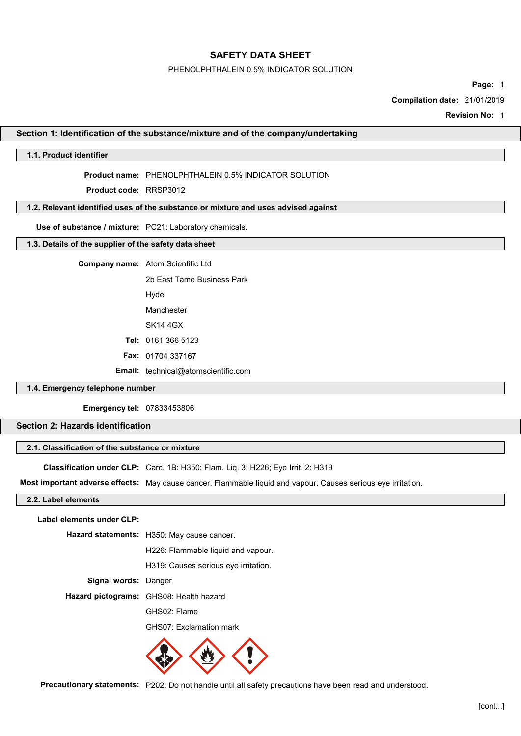#### PHENOLPHTHALEIN 0.5% INDICATOR SOLUTION

Page: 1

Compilation date: 21/01/2019

Revision No: 1

#### Section 1: Identification of the substance/mixture and of the company/undertaking

# 1.1. Product identifier

#### Product name: PHENOLPHTHALEIN 0.5% INDICATOR SOLUTION

Product code: RRSP3012

#### 1.2. Relevant identified uses of the substance or mixture and uses advised against

Use of substance / mixture: PC21: Laboratory chemicals.

# 1.3. Details of the supplier of the safety data sheet

| <b>Company name:</b> Atom Scientific Ltd |  |
|------------------------------------------|--|
| 2b Fast Tame Business Park               |  |
| Hyde                                     |  |
| Manchester                               |  |
| SK14 4GX                                 |  |
| <b>Tel: 0161 366 5123</b>                |  |
| <b>Fax: 01704 337167</b>                 |  |
|                                          |  |

Email: technical@atomscientific.com

# 1.4. Emergency telephone number

Emergency tel: 07833453806

# Section 2: Hazards identification

# 2.1. Classification of the substance or mixture

Classification under CLP: Carc. 1B: H350; Flam. Liq. 3: H226; Eye Irrit. 2: H319

Most important adverse effects: May cause cancer. Flammable liquid and vapour. Causes serious eye irritation.

## 2.2. Label elements

Label elements under CLP:

Hazard statements: H350: May cause cancer.

H226: Flammable liquid and vapour.

H319: Causes serious eye irritation.

Signal words: Danger

Hazard pictograms: GHS08: Health hazard

GHS02: Flame

GHS07: Exclamation mark



Precautionary statements: P202: Do not handle until all safety precautions have been read and understood.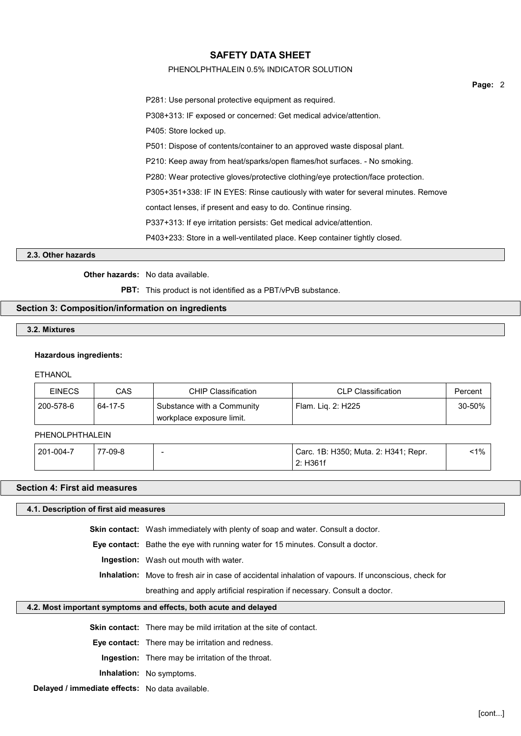## PHENOLPHTHALEIN 0.5% INDICATOR SOLUTION

| P281: Use personal protective equipment as required.                              |
|-----------------------------------------------------------------------------------|
| P308+313: IF exposed or concerned: Get medical advice/attention.                  |
| P405: Store locked up.                                                            |
| P501: Dispose of contents/container to an approved waste disposal plant.          |
| P210: Keep away from heat/sparks/open flames/hot surfaces. - No smoking.          |
| P280: Wear protective gloves/protective clothing/eye protection/face protection.  |
| P305+351+338: IF IN EYES: Rinse cautiously with water for several minutes. Remove |
| contact lenses, if present and easy to do. Continue rinsing.                      |
| P337+313: If eye irritation persists: Get medical advice/attention.               |
| P403+233: Store in a well-ventilated place. Keep container tightly closed.        |

## 2.3. Other hazards

# Other hazards: No data available.

PBT: This product is not identified as a PBT/vPvB substance.

## Section 3: Composition/information on ingredients

# 3.2. Mixtures

#### Hazardous ingredients:

#### ETHANOL

| <b>EINECS</b> | CAS     | CHIP Classification                                       | <b>CLP Classification</b> | Percent     |
|---------------|---------|-----------------------------------------------------------|---------------------------|-------------|
| 200-578-6     | 64-17-5 | Substance with a Community<br>ˈ workplace exposure limit. | Flam. Lig. 2: H225        | $30 - 50\%$ |

# PHENOLPHTHALEIN

| 201-004-7 | 7-09-8<br>- | . 1B: H350; Muta. 2: H341; Repr.<br>Carc. |  |
|-----------|-------------|-------------------------------------------|--|
|           |             | H361f<br>n.<br><u>.</u>                   |  |

### Section 4: First aid measures

#### 4.1. Description of first aid measures

Skin contact: Wash immediately with plenty of soap and water. Consult a doctor.

Eye contact: Bathe the eye with running water for 15 minutes. Consult a doctor.

# Ingestion: Wash out mouth with water.

Inhalation: Move to fresh air in case of accidental inhalation of vapours. If unconscious, check for

breathing and apply artificial respiration if necessary. Consult a doctor.

# 4.2. Most important symptoms and effects, both acute and delayed

Skin contact: There may be mild irritation at the site of contact.

Eye contact: There may be irritation and redness.

Ingestion: There may be irritation of the throat.

Inhalation: No symptoms.

Delayed / immediate effects: No data available.

Page: 2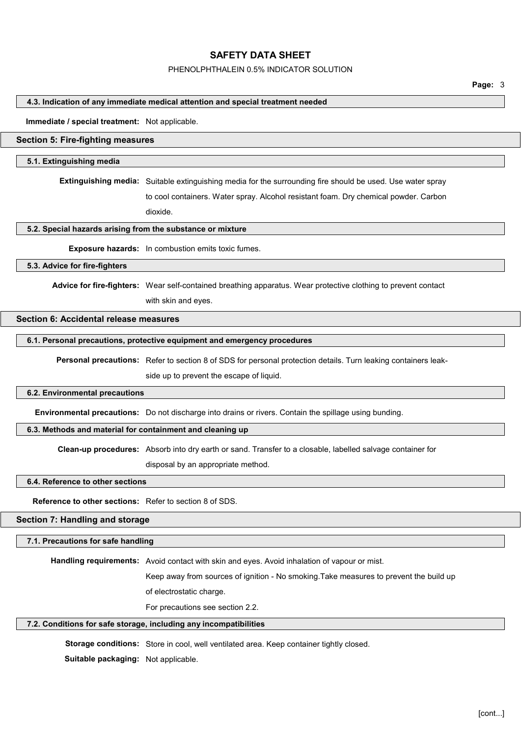### PHENOLPHTHALEIN 0.5% INDICATOR SOLUTION

#### 4.3. Indication of any immediate medical attention and special treatment needed

#### Immediate / special treatment: Not applicable.

## Section 5: Fire-fighting measures

#### 5.1. Extinguishing media

Extinguishing media: Suitable extinguishing media for the surrounding fire should be used. Use water spray

to cool containers. Water spray. Alcohol resistant foam. Dry chemical powder. Carbon dioxide.

#### 5.2. Special hazards arising from the substance or mixture

Exposure hazards: In combustion emits toxic fumes.

## 5.3. Advice for fire-fighters

Advice for fire-fighters: Wear self-contained breathing apparatus. Wear protective clothing to prevent contact with skin and eyes.

#### Section 6: Accidental release measures

#### 6.1. Personal precautions, protective equipment and emergency procedures

Personal precautions: Refer to section 8 of SDS for personal protection details. Turn leaking containers leak-

side up to prevent the escape of liquid.

#### 6.2. Environmental precautions

Environmental precautions: Do not discharge into drains or rivers. Contain the spillage using bunding.

#### 6.3. Methods and material for containment and cleaning up

Clean-up procedures: Absorb into dry earth or sand. Transfer to a closable, labelled salvage container for

disposal by an appropriate method.

# 6.4. Reference to other sections

Reference to other sections: Refer to section 8 of SDS.

# Section 7: Handling and storage

#### 7.1. Precautions for safe handling

Handling requirements: Avoid contact with skin and eyes. Avoid inhalation of vapour or mist.

Keep away from sources of ignition - No smoking.Take measures to prevent the build up

of electrostatic charge.

For precautions see section 2.2.

#### 7.2. Conditions for safe storage, including any incompatibilities

Storage conditions: Store in cool, well ventilated area. Keep container tightly closed.

Suitable packaging: Not applicable.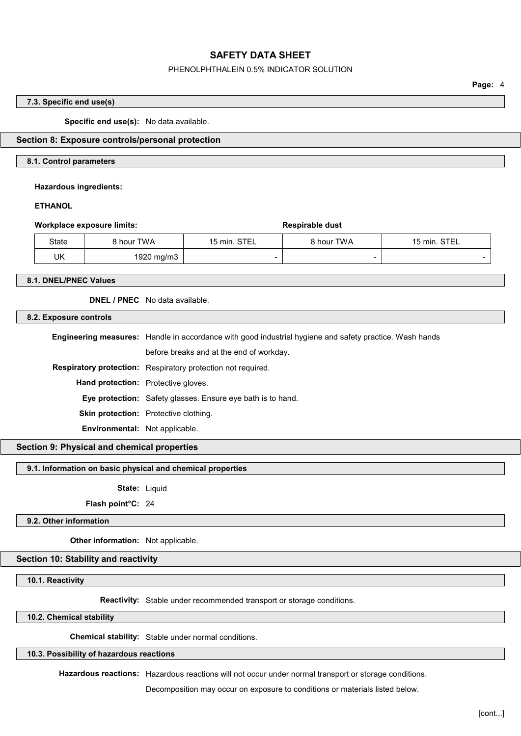#### PHENOLPHTHALEIN 0.5% INDICATOR SOLUTION

Page: 4

#### 7.3. Specific end use(s)

Specific end use(s): No data available.

## Section 8: Exposure controls/personal protection

#### 8.1. Control parameters

#### Hazardous ingredients:

# **ETHANOL**

| <b>Workplace exposure limits:</b> |              |            | Respirable dust |            |                          |
|-----------------------------------|--------------|------------|-----------------|------------|--------------------------|
|                                   | <b>State</b> | 8 hour TWA | 15 min. STEL    | 8 hour TWA | 15 min. STEL             |
|                                   | UK           | 1920 mg/m3 |                 |            | $\overline{\phantom{0}}$ |

#### 8.1. DNEL/PNEC Values

DNEL / PNEC No data available.

#### 8.2. Exposure controls

| <b>Engineering measures:</b> Handle in accordance with good industrial hygiene and safety practice. Wash hands |  |
|----------------------------------------------------------------------------------------------------------------|--|
| before breaks and at the end of workday.                                                                       |  |
| Respiratory protection: Respiratory protection not required.                                                   |  |
| <b>Hand protection:</b> Protective gloves.                                                                     |  |
| Eye protection: Safety glasses. Ensure eye bath is to hand.                                                    |  |
| <b>Skin protection:</b> Protective clothing.                                                                   |  |
| <b>Environmental:</b> Not applicable.                                                                          |  |
|                                                                                                                |  |

# Section 9: Physical and chemical properties

#### 9.1. Information on basic physical and chemical properties

State: Liquid

Flash point°C: 24

## 9.2. Other information

Other information: Not applicable.

# Section 10: Stability and reactivity

#### 10.1. Reactivity

Reactivity: Stable under recommended transport or storage conditions.

## 10.2. Chemical stability

Chemical stability: Stable under normal conditions.

# 10.3. Possibility of hazardous reactions

Hazardous reactions: Hazardous reactions will not occur under normal transport or storage conditions.

Decomposition may occur on exposure to conditions or materials listed below.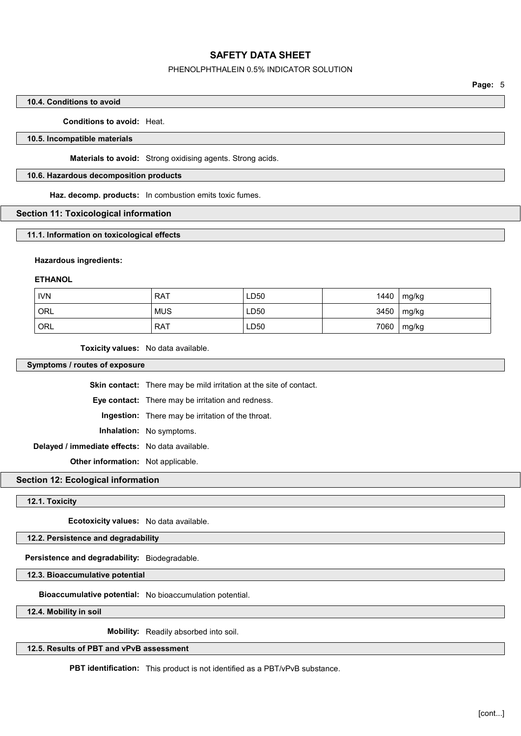### PHENOLPHTHALEIN 0.5% INDICATOR SOLUTION

# 10.4. Conditions to avoid

## Conditions to avoid: Heat.

#### 10.5. Incompatible materials

Materials to avoid: Strong oxidising agents. Strong acids.

#### 10.6. Hazardous decomposition products

Haz. decomp. products: In combustion emits toxic fumes.

#### Section 11: Toxicological information

## 11.1. Information on toxicological effects

#### Hazardous ingredients:

#### ETHANOL

| <b>IVN</b> | <b>RAT</b> | LD50 | 1440 | mg/kg |
|------------|------------|------|------|-------|
| <b>ORL</b> | <b>MUS</b> | LD50 | 3450 | mg/kg |
| <b>ORL</b> | <b>RAT</b> | LD50 | 7060 | mg/kg |

Toxicity values: No data available.

Symptoms / routes of exposure

Skin contact: There may be mild irritation at the site of contact. Eye contact: There may be irritation and redness. Ingestion: There may be irritation of the throat. Inhalation: No symptoms. Delayed / immediate effects: No data available. Other information: Not applicable.

#### Section 12: Ecological information

#### 12.1. Toxicity

Ecotoxicity values: No data available.

# 12.2. Persistence and degradability

# Persistence and degradability: Biodegradable.

12.3. Bioaccumulative potential

Bioaccumulative potential: No bioaccumulation potential.

12.4. Mobility in soil

Mobility: Readily absorbed into soil.

# 12.5. Results of PBT and vPvB assessment

PBT identification: This product is not identified as a PBT/vPvB substance.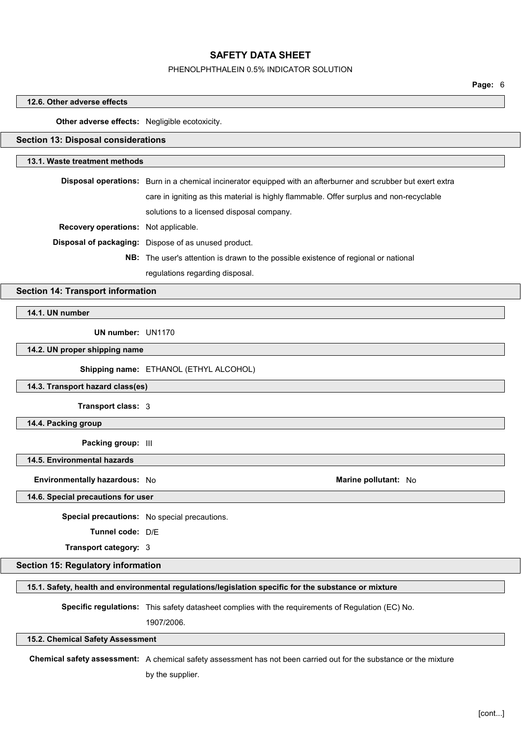#### PHENOLPHTHALEIN 0.5% INDICATOR SOLUTION

Page: 6

# 12.6. Other adverse effects Other adverse effects: Negligible ecotoxicity. Section 13: Disposal considerations 13.1. Waste treatment methods Disposal operations: Burn in a chemical incinerator equipped with an afterburner and scrubber but exert extra care in igniting as this material is highly flammable. Offer surplus and non-recyclable solutions to a licensed disposal company. Recovery operations: Not applicable. Disposal of packaging: Dispose of as unused product. NB: The user's attention is drawn to the possible existence of regional or national regulations regarding disposal. Section 14: Transport information 14.1. UN number UN number: UN1170 14.2. UN proper shipping name Shipping name: ETHANOL (ETHYL ALCOHOL) 14.3. Transport hazard class(es) Transport class: 3 14.4. Packing group Packing group: III 14.5. Environmental hazards Environmentally hazardous: No and the settlement of the Marine pollutant: No analysis of the Marine pollutant: No 14.6. Special precautions for user Special precautions: No special precautions. Tunnel code: D/E Transport category: 3 Section 15: Regulatory information 15.1. Safety, health and environmental regulations/legislation specific for the substance or mixture Specific regulations: This safety datasheet complies with the requirements of Regulation (EC) No. 1907/2006. 15.2. Chemical Safety Assessment Chemical safety assessment: A chemical safety assessment has not been carried out for the substance or the mixture by the supplier.